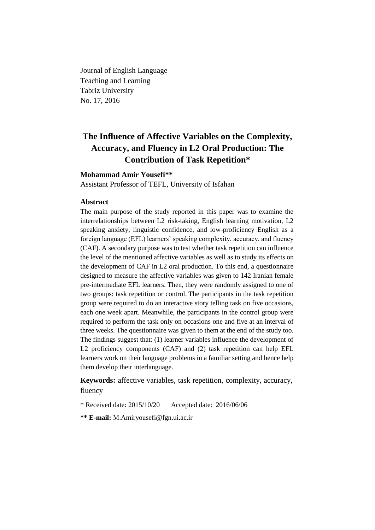Journal of English Language Teaching and Learning Tabriz University No. 17, 2016

# **The Influence of Affective Variables on the Complexity, Accuracy, and Fluency in L2 Oral Production: The Contribution of Task Repetition\***

# **Mohammad Amir Yousefi\*\***

Assistant Professor of TEFL, University of Isfahan

### **Abstract**

The main purpose of the study reported in this paper was to examine the interrelationships between L2 risk-taking, English learning motivation, L2 speaking anxiety, linguistic confidence, and low-proficiency English as a foreign language (EFL) learners' speaking complexity, accuracy, and fluency (CAF). A secondary purpose was to test whether task repetition can influence the level of the mentioned affective variables as well as to study its effects on the development of CAF in L2 oral production. To this end, a questionnaire designed to measure the affective variables was given to 142 Iranian female pre-intermediate EFL learners. Then, they were randomly assigned to one of two groups: task repetition or control. The participants in the task repetition group were required to do an interactive story telling task on five occasions, each one week apart. Meanwhile, the participants in the control group were required to perform the task only on occasions one and five at an interval of three weeks. The questionnaire was given to them at the end of the study too. The findings suggest that: (1) learner variables influence the development of L2 proficiency components (CAF) and (2) task repetition can help EFL learners work on their language problems in a familiar setting and hence help them develop their interlanguage.

**Keywords:** affective variables, task repetition, complexity, accuracy, fluency

<sup>\*</sup> Received date: 2015/10/20 Accepted date: 2016/06/06

**<sup>\*\*</sup> E-mail:** [M.Amiryousefi@f](mailto:M.Amiryousefi@Yahoo.com)gn.ui.ac.ir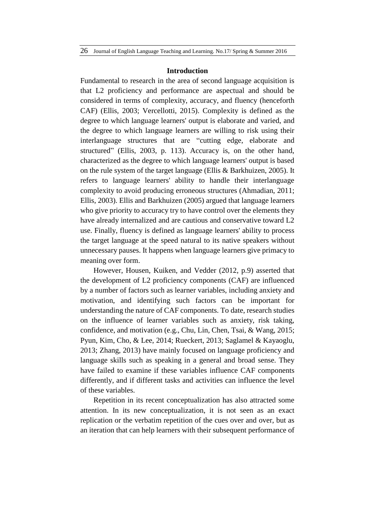#### **Introduction**

Fundamental to research in the area of second language acquisition is that L2 proficiency and performance are aspectual and should be considered in terms of complexity, accuracy, and fluency (henceforth CAF) (Ellis, 2003; Vercellotti, 2015). Complexity is defined as the degree to which language learners' output is elaborate and varied, and the degree to which language learners are willing to risk using their interlanguage structures that are "cutting edge, elaborate and structured" (Ellis, 2003, p. 113). Accuracy is, on the other hand, characterized as the degree to which language learners' output is based on the rule system of the target language (Ellis & Barkhuizen, 2005). It refers to language learners' ability to handle their interlanguage complexity to avoid producing erroneous structures (Ahmadian, 2011; Ellis, 2003). Ellis and Barkhuizen (2005) argued that language learners who give priority to accuracy try to have control over the elements they have already internalized and are cautious and conservative toward L2 use. Finally, fluency is defined as language learners' ability to process the target language at the speed natural to its native speakers without unnecessary pauses. It happens when language learners give primacy to meaning over form.

However, Housen, Kuiken, and Vedder (2012, p.9) asserted that the development of L2 proficiency components (CAF) are influenced by a number of factors such as learner variables, including anxiety and motivation, and identifying such factors can be important for understanding the nature of CAF components. To date, research studies on the influence of learner variables such as anxiety, risk taking, confidence, and motivation (e.g., Chu, Lin, Chen, Tsai, & Wang, 2015; Pyun, Kim, Cho, & Lee, 2014; Rueckert, 2013; Saglamel & Kayaoglu, 2013; Zhang, 2013) have mainly focused on language proficiency and language skills such as speaking in a general and broad sense. They have failed to examine if these variables influence CAF components differently, and if different tasks and activities can influence the level of these variables.

Repetition in its recent conceptualization has also attracted some attention. In its new conceptualization, it is not seen as an exact replication or the verbatim repetition of the cues over and over, but as an iteration that can help learners with their subsequent performance of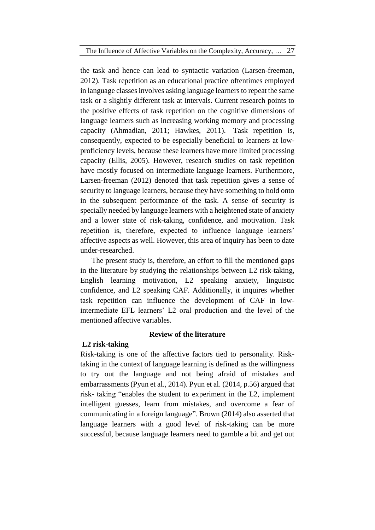the task and hence can lead to syntactic variation (Larsen-freeman, 2012). Task repetition as an educational practice oftentimes employed in language classes involves asking language learners to repeat the same task or a slightly different task at intervals. Current research points to the positive effects of task repetition on the cognitive dimensions of language learners such as increasing working memory and processing capacity (Ahmadian, 2011; Hawkes, 2011). Task repetition is, consequently, expected to be especially beneficial to learners at lowproficiency levels, because these learners have more limited processing capacity (Ellis, 2005). However, research studies on task repetition have mostly focused on intermediate language learners. Furthermore, Larsen-freeman (2012) denoted that task repetition gives a sense of security to language learners, because they have something to hold onto in the subsequent performance of the task. A sense of security is specially needed by language learners with a heightened state of anxiety and a lower state of risk-taking, confidence, and motivation. Task repetition is, therefore, expected to influence language learners' affective aspects as well. However, this area of inquiry has been to date under-researched.

The present study is, therefore, an effort to fill the mentioned gaps in the literature by studying the relationships between L2 risk-taking, English learning motivation, L2 speaking anxiety, linguistic confidence, and L2 speaking CAF. Additionally, it inquires whether task repetition can influence the development of CAF in lowintermediate EFL learners' L2 oral production and the level of the mentioned affective variables.

### **L2 risk-taking**

# **Review of the literature**

Risk-taking is one of the affective factors tied to personality. Risktaking in the context of language learning is defined as the willingness to try out the language and not being afraid of mistakes and embarrassments (Pyun et al., 2014). Pyun et al. (2014, p.56) argued that risk- taking "enables the student to experiment in the L2, implement intelligent guesses, learn from mistakes, and overcome a fear of communicating in a foreign language". Brown (2014) also asserted that language learners with a good level of risk-taking can be more successful, because language learners need to gamble a bit and get out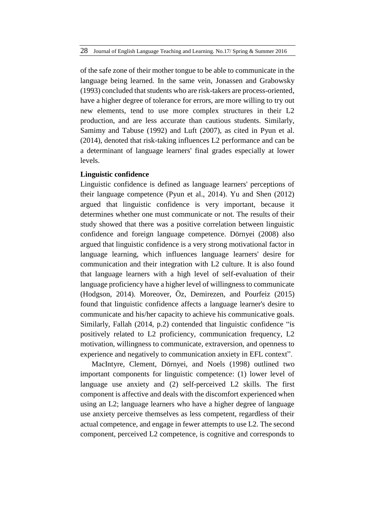of the safe zone of their mother tongue to be able to communicate in the language being learned. In the same vein, Jonassen and Grabowsky (1993) concluded that students who are risk-takers are process-oriented, have a higher degree of tolerance for errors, are more willing to try out new elements, tend to use more complex structures in their L2 production, and are less accurate than cautious students. Similarly, Samimy and Tabuse (1992) and Luft (2007), as cited in Pyun et al. (2014), denoted that risk-taking influences L2 performance and can be a determinant of language learners' final grades especially at lower levels.

#### **Linguistic confidence**

Linguistic confidence is defined as language learners' perceptions of their language competence (Pyun et al., 2014). Yu and Shen (2012) argued that linguistic confidence is very important, because it determines whether one must communicate or not. The results of their study showed that there was a positive correlation between linguistic confidence and foreign language competence. Dörnyei (2008) also argued that linguistic confidence is a very strong motivational factor in language learning, which influences language learners' desire for communication and their integration with L2 culture. It is also found that language learners with a high level of self-evaluation of their language proficiency have a higher level of willingness to communicate (Hodgson, 2014). Moreover, Öz, Demirezen, and Pourfeiz (2015) found that linguistic confidence affects a language learner's desire to communicate and his/her capacity to achieve his communicative goals. Similarly, Fallah (2014, p.2) contended that linguistic confidence "is positively related to L2 proficiency, communication frequency, L2 motivation, willingness to communicate, extraversion, and openness to experience and negatively to communication anxiety in EFL context".

MacIntyre, Clement, Dörnyei, and Noels (1998) outlined two important components for linguistic competence: (1) lower level of language use anxiety and (2) self-perceived L2 skills. The first component is affective and deals with the discomfort experienced when using an L2; language learners who have a higher degree of language use anxiety perceive themselves as less competent, regardless of their actual competence, and engage in fewer attempts to use L2. The second component, perceived L2 competence, is cognitive and corresponds to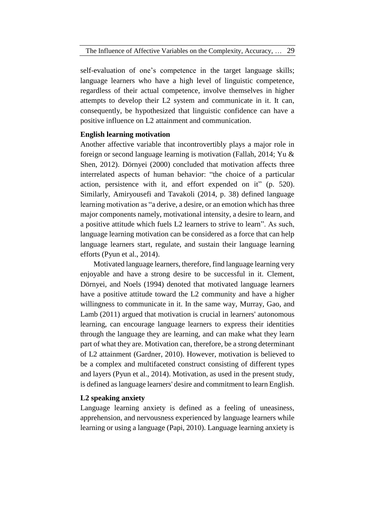self-evaluation of one's competence in the target language skills; language learners who have a high level of linguistic competence, regardless of their actual competence, involve themselves in higher attempts to develop their L2 system and communicate in it. It can, consequently, be hypothesized that linguistic confidence can have a positive influence on L2 attainment and communication.

# **English learning motivation**

Another affective variable that incontrovertibly plays a major role in foreign or second language learning is motivation (Fallah, 2014; Yu & Shen, 2012). Dörnyei (2000) concluded that motivation affects three interrelated aspects of human behavior: "the choice of a particular action, persistence with it, and effort expended on it" (p. 520). Similarly, Amiryousefi and Tavakoli (2014, p. 38) defined language learning motivation as "a derive, a desire, or an emotion which has three major components namely, motivational intensity, a desire to learn, and a positive attitude which fuels L2 learners to strive to learn". As such, language learning motivation can be considered as a force that can help language learners start, regulate, and sustain their language learning efforts (Pyun et al., 2014).

Motivated language learners, therefore, find language learning very enjoyable and have a strong desire to be successful in it. Clement, Dörnyei, and Noels (1994) denoted that motivated language learners have a positive attitude toward the L2 community and have a higher willingness to communicate in it. In the same way, Murray, Gao, and Lamb (2011) argued that motivation is crucial in learners' autonomous learning, can encourage language learners to express their identities through the language they are learning, and can make what they learn part of what they are. Motivation can, therefore, be a strong determinant of L2 attainment (Gardner, 2010). However, motivation is believed to be a complex and multifaceted construct consisting of different types and layers (Pyun et al., 2014). Motivation, as used in the present study, is defined as language learners' desire and commitment to learn English.

# **L2 speaking anxiety**

Language learning anxiety is defined as a feeling of uneasiness, apprehension, and nervousness experienced by language learners while learning or using a language (Papi, 2010). Language learning anxiety is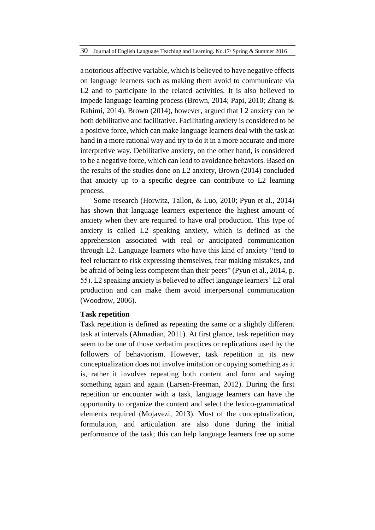a notorious affective variable, which is believed to have negative effects on language learners such as making them avoid to communicate via L2 and to participate in the related activities. It is also believed to impede language learning process (Brown, 2014; Papi, 2010; Zhang & Rahimi, 2014). Brown (2014), however, argued that L2 anxiety can be both debilitative and facilitative. Facilitating anxiety is considered to be a positive force, which can make language learners deal with the task at hand in a more rational way and try to do it in a more accurate and more interpretive way. Debilitative anxiety, on the other hand, is considered to be a negative force, which can lead to avoidance behaviors. Based on the results of the studies done on L2 anxiety, Brown (2014) concluded that anxiety up to a specific degree can contribute to L2 learning process.

Some research (Horwitz, Tallon, & Luo, 2010; Pyun et al., 2014) has shown that language learners experience the highest amount of anxiety when they are required to have oral production. This type of anxiety is called L2 speaking anxiety, which is defined as the apprehension associated with real or anticipated communication through L2. Language learners who have this kind of anxiety "tend to feel reluctant to risk expressing themselves, fear making mistakes, and be afraid of being less competent than their peers" (Pyun et al., 2014, p. 55). L2 speaking anxiety is believed to affect language learners' L2 oral production and can make them avoid interpersonal communication (Woodrow, 2006).

### **Task repetition**

Task repetition is defined as repeating the same or a slightly different task at intervals (Ahmadian, 2011). At first glance, task repetition may seem to be one of those verbatim practices or replications used by the followers of behaviorism. However, task repetition in its new conceptualization does not involve imitation or copying something as it is, rather it involves repeating both content and form and saying something again and again (Larsen-Freeman, 2012). During the first repetition or encounter with a task, language learners can have the opportunity to organize the content and select the lexico-grammatical elements required (Mojavezi, 2013). Most of the conceptualization, formulation, and articulation are also done during the initial performance of the task; this can help language learners free up some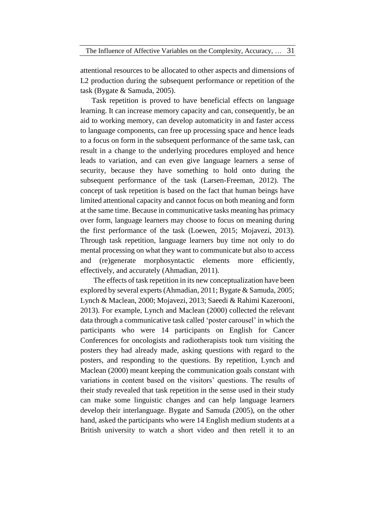attentional resources to be allocated to other aspects and dimensions of L<sub>2</sub> production during the subsequent performance or repetition of the task (Bygate & Samuda, 2005).

Task repetition is proved to have beneficial effects on language learning. It can increase memory capacity and can, consequently, be an aid to working memory, can develop automaticity in and faster access to language components, can free up processing space and hence leads to a focus on form in the subsequent performance of the same task, can result in a change to the underlying procedures employed and hence leads to variation, and can even give language learners a sense of security, because they have something to hold onto during the subsequent performance of the task (Larsen-Freeman, 2012). The concept of task repetition is based on the fact that human beings have limited attentional capacity and cannot focus on both meaning and form at the same time. Because in communicative tasks meaning has primacy over form, language learners may choose to focus on meaning during the first performance of the task (Loewen, 2015; Mojavezi, 2013). Through task repetition, language learners buy time not only to do mental processing on what they want to communicate but also to access and (re)generate morphosyntactic elements more efficiently, effectively, and accurately (Ahmadian, 2011).

The effects of task repetition in its new conceptualization have been explored by several experts (Ahmadian, 2011; Bygate & Samuda, 2005; Lynch & Maclean, 2000; Mojavezi, 2013; Saeedi & Rahimi Kazerooni, 2013). For example, Lynch and Maclean (2000) collected the relevant data through a communicative task called 'poster carousel' in which the participants who were 14 participants on English for Cancer Conferences for oncologists and radiotherapists took turn visiting the posters they had already made, asking questions with regard to the posters, and responding to the questions. By repetition, Lynch and Maclean (2000) meant keeping the communication goals constant with variations in content based on the visitors' questions. The results of their study revealed that task repetition in the sense used in their study can make some linguistic changes and can help language learners develop their interlanguage. Bygate and Samuda (2005), on the other hand, asked the participants who were 14 English medium students at a British university to watch a short video and then retell it to an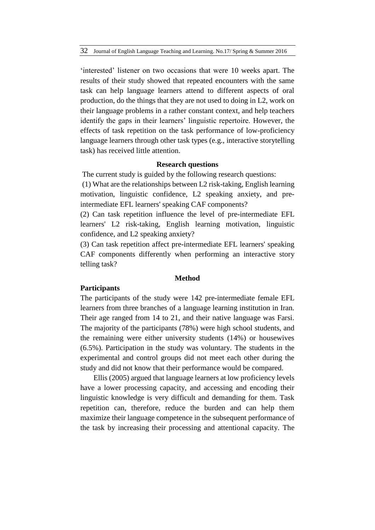'interested' listener on two occasions that were 10 weeks apart. The results of their study showed that repeated encounters with the same task can help language learners attend to different aspects of oral production, do the things that they are not used to doing in L2, work on their language problems in a rather constant context, and help teachers identify the gaps in their learners' linguistic repertoire. However, the effects of task repetition on the task performance of low-proficiency language learners through other task types (e.g., interactive storytelling task) has received little attention.

### **Research questions**

The current study is guided by the following research questions:

(1) What are the relationships between L2 risk-taking, English learning motivation, linguistic confidence, L2 speaking anxiety, and preintermediate EFL learners' speaking CAF components?

(2) Can task repetition influence the level of pre-intermediate EFL learners' L2 risk-taking, English learning motivation, linguistic confidence, and L2 speaking anxiety?

(3) Can task repetition affect pre-intermediate EFL learners' speaking CAF components differently when performing an interactive story telling task?

#### **Method**

### **Participants**

The participants of the study were 142 pre-intermediate female EFL learners from three branches of a language learning institution in Iran. Their age ranged from 14 to 21, and their native language was Farsi. The majority of the participants (78%) were high school students, and the remaining were either university students (14%) or housewives (6.5%). Participation in the study was voluntary. The students in the experimental and control groups did not meet each other during the study and did not know that their performance would be compared.

Ellis (2005) argued that language learners at low proficiency levels have a lower processing capacity, and accessing and encoding their linguistic knowledge is very difficult and demanding for them. Task repetition can, therefore, reduce the burden and can help them maximize their language competence in the subsequent performance of the task by increasing their processing and attentional capacity. The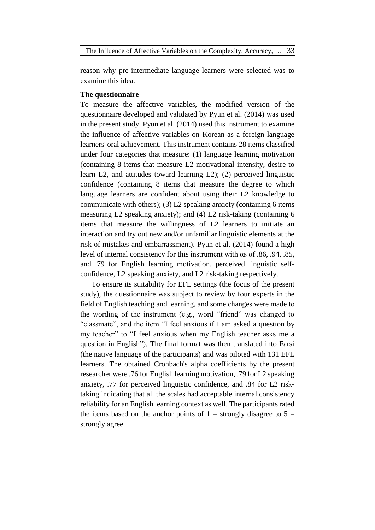The Influence of Affective Variables on the Complexity, Accuracy, … 33

reason why pre-intermediate language learners were selected was to examine this idea.

# **The questionnaire**

To measure the affective variables, the modified version of the questionnaire developed and validated by Pyun et al. (2014) was used in the present study. Pyun et al. (2014) used this instrument to examine the influence of affective variables on Korean as a foreign language learners' oral achievement. This instrument contains 28 items classified under four categories that measure: (1) language learning motivation (containing 8 items that measure L2 motivational intensity, desire to learn L2, and attitudes toward learning L2); (2) perceived linguistic confidence (containing 8 items that measure the degree to which language learners are confident about using their L2 knowledge to communicate with others); (3) L2 speaking anxiety (containing 6 items measuring L2 speaking anxiety); and (4) L2 risk-taking (containing 6 items that measure the willingness of L2 learners to initiate an interaction and try out new and/or unfamiliar linguistic elements at the risk of mistakes and embarrassment). Pyun et al. (2014) found a high level of internal consistency for this instrument with αs of .86, .94, .85, and .79 for English learning motivation, perceived linguistic selfconfidence, L2 speaking anxiety, and L2 risk-taking respectively.

To ensure its suitability for EFL settings (the focus of the present study), the questionnaire was subject to review by four experts in the field of English teaching and learning, and some changes were made to the wording of the instrument (e.g., word "friend" was changed to "classmate", and the item "I feel anxious if I am asked a question by my teacher" to "I feel anxious when my English teacher asks me a question in English"). The final format was then translated into Farsi (the native language of the participants) and was piloted with 131 EFL learners. The obtained Cronbach's alpha coefficients by the present researcher were .76 for English learning motivation, .79 for L2 speaking anxiety, .77 for perceived linguistic confidence, and .84 for L2 risktaking indicating that all the scales had acceptable internal consistency reliability for an English learning context as well. The participants rated the items based on the anchor points of  $1 =$  strongly disagree to  $5 =$ strongly agree.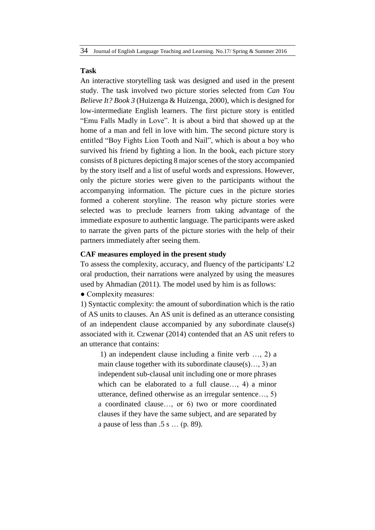#### **Task**

An interactive storytelling task was designed and used in the present study. The task involved two picture stories selected from *Can You Believe It? Book 3* (Huizenga & Huizenga, 2000), which is designed for low-intermediate English learners. The first picture story is entitled "Emu Falls Madly in Love". It is about a bird that showed up at the home of a man and fell in love with him. The second picture story is entitled "Boy Fights Lion Tooth and Nail", which is about a boy who survived his friend by fighting a lion. In the book, each picture story consists of 8 pictures depicting 8 major scenes of the story accompanied by the story itself and a list of useful words and expressions. However, only the picture stories were given to the participants without the accompanying information. The picture cues in the picture stories formed a coherent storyline. The reason why picture stories were selected was to preclude learners from taking advantage of the immediate exposure to authentic language. The participants were asked to narrate the given parts of the picture stories with the help of their partners immediately after seeing them.

### **CAF measures employed in the present study**

To assess the complexity, accuracy, and fluency of the participants' L2 oral production, their narrations were analyzed by using the measures used by Ahmadian (2011). The model used by him is as follows:

• Complexity measures:

1) Syntactic complexity: the amount of subordination which is the ratio of AS units to clauses. An AS unit is defined as an utterance consisting of an independent clause accompanied by any subordinate clause(s) associated with it. Czwenar (2014) contended that an AS unit refers to an utterance that contains:

1) an independent clause including a finite verb …, 2) a main clause together with its subordinate clause(s)..., 3) an independent sub-clausal unit including one or more phrases which can be elaborated to a full clause…, 4) a minor utterance, defined otherwise as an irregular sentence…, 5) a coordinated clause…, or 6) two or more coordinated clauses if they have the same subject, and are separated by a pause of less than .5 s … (p. 89).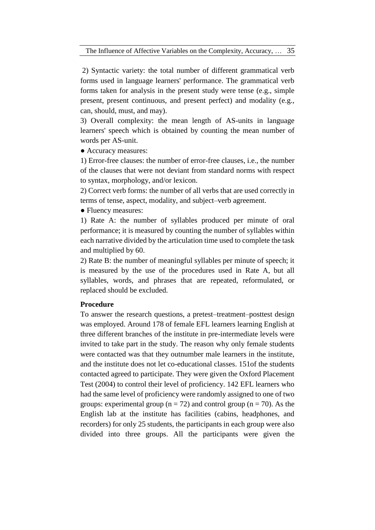2) Syntactic variety: the total number of different grammatical verb forms used in language learners' performance. The grammatical verb forms taken for analysis in the present study were tense (e.g., simple present, present continuous, and present perfect) and modality (e.g., can, should, must, and may).

3) Overall complexity: the mean length of AS-units in language learners' speech which is obtained by counting the mean number of words per AS-unit.

● Accuracy measures:

1) Error-free clauses: the number of error-free clauses, i.e., the number of the clauses that were not deviant from standard norms with respect to syntax, morphology, and/or lexicon.

2) Correct verb forms: the number of all verbs that are used correctly in terms of tense, aspect, modality, and subject–verb agreement.

● Fluency measures:

1) Rate A: the number of syllables produced per minute of oral performance; it is measured by counting the number of syllables within each narrative divided by the articulation time used to complete the task and multiplied by 60.

2) Rate B: the number of meaningful syllables per minute of speech; it is measured by the use of the procedures used in Rate A, but all syllables, words, and phrases that are repeated, reformulated, or replaced should be excluded.

### **Procedure**

To answer the research questions, a pretest–treatment–posttest design was employed. Around 178 of female EFL learners learning English at three different branches of the institute in pre-intermediate levels were invited to take part in the study. The reason why only female students were contacted was that they outnumber male learners in the institute, and the institute does not let co-educational classes. 151of the students contacted agreed to participate. They were given the Oxford Placement Test (2004) to control their level of proficiency. 142 EFL learners who had the same level of proficiency were randomly assigned to one of two groups: experimental group ( $n = 72$ ) and control group ( $n = 70$ ). As the English lab at the institute has facilities (cabins, headphones, and recorders) for only 25 students, the participants in each group were also divided into three groups. All the participants were given the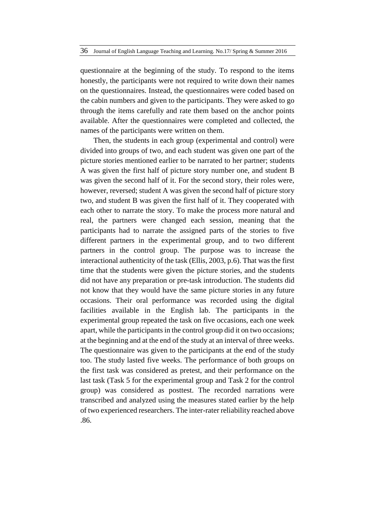questionnaire at the beginning of the study. To respond to the items honestly, the participants were not required to write down their names on the questionnaires. Instead, the questionnaires were coded based on the cabin numbers and given to the participants. They were asked to go through the items carefully and rate them based on the anchor points available. After the questionnaires were completed and collected, the names of the participants were written on them.

Then, the students in each group (experimental and control) were divided into groups of two, and each student was given one part of the picture stories mentioned earlier to be narrated to her partner; students A was given the first half of picture story number one, and student B was given the second half of it. For the second story, their roles were, however, reversed; student A was given the second half of picture story two, and student B was given the first half of it. They cooperated with each other to narrate the story. To make the process more natural and real, the partners were changed each session, meaning that the participants had to narrate the assigned parts of the stories to five different partners in the experimental group, and to two different partners in the control group. The purpose was to increase the interactional authenticity of the task (Ellis, 2003, p.6). That was the first time that the students were given the picture stories, and the students did not have any preparation or pre-task introduction. The students did not know that they would have the same picture stories in any future occasions. Their oral performance was recorded using the digital facilities available in the English lab. The participants in the experimental group repeated the task on five occasions, each one week apart, while the participants in the control group did it on two occasions; at the beginning and at the end of the study at an interval of three weeks. The questionnaire was given to the participants at the end of the study too. The study lasted five weeks. The performance of both groups on the first task was considered as pretest, and their performance on the last task (Task 5 for the experimental group and Task 2 for the control group) was considered as posttest. The recorded narrations were transcribed and analyzed using the measures stated earlier by the help of two experienced researchers. The inter-rater reliability reached above .86.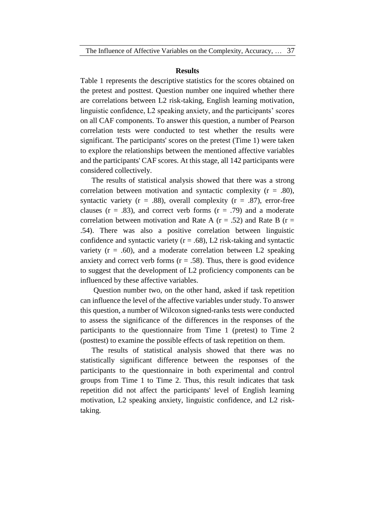#### **Results**

Table 1 represents the descriptive statistics for the scores obtained on the pretest and posttest. Question number one inquired whether there are correlations between L2 risk-taking, English learning motivation, linguistic confidence, L2 speaking anxiety, and the participants' scores on all CAF components. To answer this question, a number of Pearson correlation tests were conducted to test whether the results were significant. The participants' scores on the pretest (Time 1) were taken to explore the relationships between the mentioned affective variables and the participants' CAF scores. At this stage, all 142 participants were considered collectively.

The results of statistical analysis showed that there was a strong correlation between motivation and syntactic complexity  $(r = .80)$ , syntactic variety ( $r = .88$ ), overall complexity ( $r = .87$ ), error-free clauses ( $r = .83$ ), and correct verb forms ( $r = .79$ ) and a moderate correlation between motivation and Rate A ( $r = .52$ ) and Rate B ( $r =$ .54). There was also a positive correlation between linguistic confidence and syntactic variety ( $r = .68$ ), L2 risk-taking and syntactic variety  $(r = .60)$ , and a moderate correlation between L2 speaking anxiety and correct verb forms  $(r = .58)$ . Thus, there is good evidence to suggest that the development of L2 proficiency components can be influenced by these affective variables.

Question number two, on the other hand, asked if task repetition can influence the level of the affective variables under study. To answer this question, a number of Wilcoxon signed-ranks tests were conducted to assess the significance of the differences in the responses of the participants to the questionnaire from Time 1 (pretest) to Time 2 (posttest) to examine the possible effects of task repetition on them.

The results of statistical analysis showed that there was no statistically significant difference between the responses of the participants to the questionnaire in both experimental and control groups from Time 1 to Time 2. Thus, this result indicates that task repetition did not affect the participants' level of English learning motivation, L2 speaking anxiety, linguistic confidence, and L2 risktaking.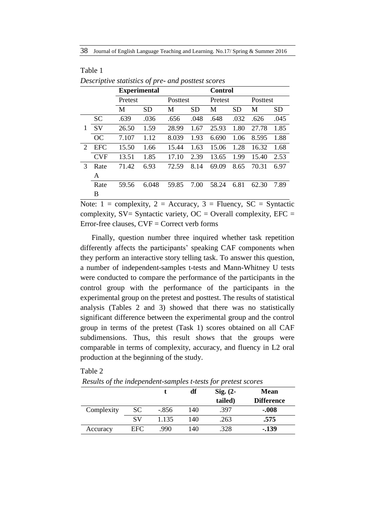|                             |            | <b>Experimental</b> |       |          | <b>Control</b> |         |           |                 |           |
|-----------------------------|------------|---------------------|-------|----------|----------------|---------|-----------|-----------------|-----------|
|                             |            | Pretest             |       | Posttest |                | Pretest |           | <b>Posttest</b> |           |
|                             |            | M                   | SD    | M        | <b>SD</b>      | М       | <b>SD</b> | М               | <b>SD</b> |
|                             | <b>SC</b>  | .639                | .036  | .656     | .048           | .648    | .032      | .626            | .045      |
|                             | SV         | 26.50               | 1.59  | 28.99    | 1.67           | 25.93   | 1.80      | 27.78           | 1.85      |
|                             | OC         | 7.107               | 1.12  | 8.039    | 1.93           | 6.690   | 1.06      | 8.595           | 1.88      |
| $\mathcal{D}_{\mathcal{L}}$ | <b>EFC</b> | 15.50               | 1.66  | 15.44    | 1.63           | 15.06   | 1.28      | 16.32           | 1.68      |
|                             | <b>CVF</b> | 13.51               | 1.85  | 17.10    | 2.39           | 13.65   | 1.99      | 15.40           | 2.53      |
| $\mathcal{R}$               | Rate       | 71.42               | 6.93  | 72.59    | 8.14           | 69.09   | 8.65      | 70.31           | 6.97      |
|                             | A          |                     |       |          |                |         |           |                 |           |
|                             | Rate       | 59.56               | 6.048 | 59.85    | 7.00           | 58.24   | 6.81      | 62.30           | 7.89      |
|                             | B          |                     |       |          |                |         |           |                 |           |

| Table 1                                            |  |
|----------------------------------------------------|--|
| Descriptive statistics of pre- and posttest scores |  |

Note:  $1 = \text{complexity}, 2 = \text{Accuracy}, 3 = \text{Fluency}, \text{SC} = \text{Syntactic}$ complexity,  $SV = S$ yntactic variety,  $OC = Overall$  complexity,  $EFC =$ Error-free clauses,  $CVF = Correct$  verb forms

Finally, question number three inquired whether task repetition differently affects the participants' speaking CAF components when they perform an interactive story telling task. To answer this question, a number of independent-samples t-tests and Mann-Whitney U tests were conducted to compare the performance of the participants in the control group with the performance of the participants in the experimental group on the pretest and posttest. The results of statistical analysis (Tables 2 and 3) showed that there was no statistically significant difference between the experimental group and the control group in terms of the pretest (Task 1) scores obtained on all CAF subdimensions. Thus, this result shows that the groups were comparable in terms of complexity, accuracy, and fluency in L2 oral production at the beginning of the study.

|            |      |         | df  | $Sig. (2-$<br>tailed) | <b>Mean</b><br><b>Difference</b> |
|------------|------|---------|-----|-----------------------|----------------------------------|
| Complexity | SС   | $-.856$ | 140 | .397                  | $-.008$                          |
|            | SV   | 1.135   | 140 | .263                  | .575                             |
| Accuracy   | EFC. | .990    | 140 | .328                  | $-139$                           |

Table 2

*Results of the independent-samples t-tests for pretest scores*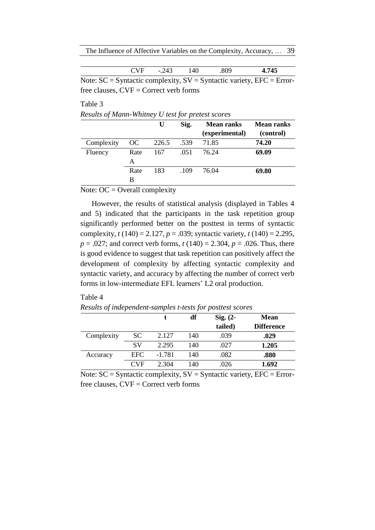The Influence of Affective Variables on the Complexity, Accuracy, … 39

| . .<br>. .<br>$\Lambda$<br>-<br>т.<br>ு<br>$ -$<br>- |
|------------------------------------------------------|
|------------------------------------------------------|

Note:  $SC = S$ yntactic complexity,  $SV = S$ yntactic variety,  $EFC = Error$ free clauses,  $CVF = Correct verb$  forms

# Table 3

*Results of Mann-Whitney U test for pretest scores*

|            |      | U     | Sig. | <b>Mean ranks</b> | Mean ranks |
|------------|------|-------|------|-------------------|------------|
|            |      |       |      | (experimental)    | (control)  |
| Complexity | OC.  | 226.5 | .539 | 71.85             | 74.20      |
| Fluency    | Rate | 167   | .051 | 76.24             | 69.09      |
|            | A    |       |      |                   |            |
|            | Rate | 183   | .109 | 76.04             | 69.80      |
|            | в    |       |      |                   |            |

### Note:  $OC = Overall$  complexity

However, the results of statistical analysis (displayed in Tables 4 and 5) indicated that the participants in the task repetition group significantly performed better on the posttest in terms of syntactic complexity, *t* (140) = 2.127, *p* = .039; syntactic variety, *t* (140) = 2.295, *p* = .027; and correct verb forms, *t* (140) = 2.304, *p* = .026. Thus, there is good evidence to suggest that task repetition can positively affect the development of complexity by affecting syntactic complexity and syntactic variety, and accuracy by affecting the number of correct verb forms in low-intermediate EFL learners' L2 oral production.

#### Table 4

|            |      |          | df  | $Sig. (2-$ | <b>Mean</b>       |
|------------|------|----------|-----|------------|-------------------|
|            |      |          |     | tailed)    | <b>Difference</b> |
| Complexity | SC.  | 2.127    | 140 | .039       | .029              |
|            | SV   | 2.295    | 140 | .027       | 1.205             |
| Accuracy   | EFC. | $-1.781$ | 140 | .082       | .880              |
|            | CVF  | 2.304    | 140 | .026       | 1.692             |

*Results of independent-samples t-tests for posttest scores*

Note:  $SC = S$ yntactic complexity,  $SV = S$ yntactic variety,  $EFC = Error$ free clauses,  $CVF = Correct$  verb forms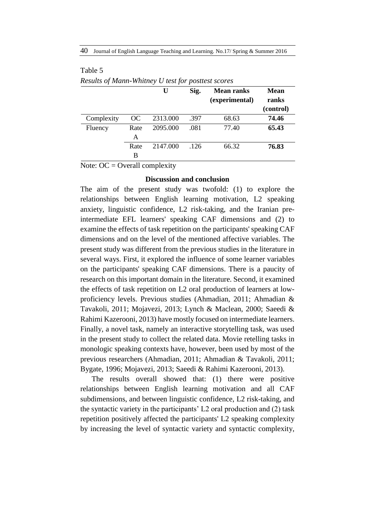|            |           | U        | Sig. | <b>Mean ranks</b><br>(experimental) | <b>Mean</b><br>ranks |
|------------|-----------|----------|------|-------------------------------------|----------------------|
|            |           |          |      |                                     | (control)            |
| Complexity | <b>OC</b> | 2313.000 | .397 | 68.63                               | 74.46                |
| Fluency    | Rate      | 2095.000 | .081 | 77.40                               | 65.43                |
|            | A         |          |      |                                     |                      |
|            | Rate      | 2147.000 | .126 | 66.32                               | 76.83                |
|            | B         |          |      |                                     |                      |

# Table 5 *Results of Mann-Whitney U test for posttest scores*

Note:  $OC = Overall$  complexity

#### **Discussion and conclusion**

The aim of the present study was twofold: (1) to explore the relationships between English learning motivation, L2 speaking anxiety, linguistic confidence, L2 risk-taking, and the Iranian preintermediate EFL learners' speaking CAF dimensions and (2) to examine the effects of task repetition on the participants' speaking CAF dimensions and on the level of the mentioned affective variables. The present study was different from the previous studies in the literature in several ways. First, it explored the influence of some learner variables on the participants' speaking CAF dimensions. There is a paucity of research on this important domain in the literature. Second, it examined the effects of task repetition on L2 oral production of learners at lowproficiency levels. Previous studies (Ahmadian, 2011; Ahmadian & Tavakoli, 2011; Mojavezi, 2013; Lynch & Maclean, 2000; Saeedi & Rahimi Kazerooni, 2013) have mostly focused on intermediate learners. Finally, a novel task, namely an interactive storytelling task, was used in the present study to collect the related data. Movie retelling tasks in monologic speaking contexts have, however, been used by most of the previous researchers (Ahmadian, 2011; Ahmadian & Tavakoli, 2011; Bygate, 1996; Mojavezi, 2013; Saeedi & Rahimi Kazerooni, 2013).

The results overall showed that: (1) there were positive relationships between English learning motivation and all CAF subdimensions, and between linguistic confidence, L2 risk-taking, and the syntactic variety in the participants' L2 oral production and (2) task repetition positively affected the participants' L2 speaking complexity by increasing the level of syntactic variety and syntactic complexity,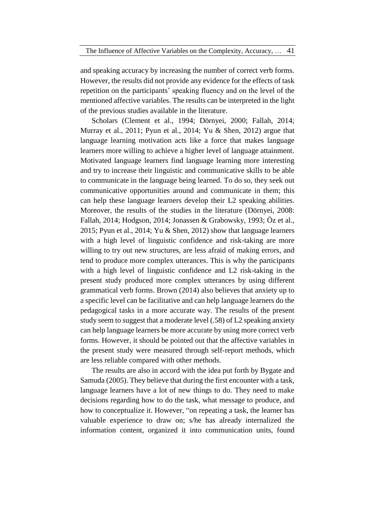and speaking accuracy by increasing the number of correct verb forms. However, the results did not provide any evidence for the effects of task repetition on the participants' speaking fluency and on the level of the mentioned affective variables. The results can be interpreted in the light of the previous studies available in the literature.

Scholars (Clement et al., 1994; Dörnyei, 2000; Fallah, 2014; Murray et al., 2011; Pyun et al., 2014; Yu & Shen, 2012) argue that language learning motivation acts like a force that makes language learners more willing to achieve a higher level of language attainment. Motivated language learners find language learning more interesting and try to increase their linguistic and communicative skills to be able to communicate in the language being learned. To do so, they seek out communicative opportunities around and communicate in them; this can help these language learners develop their L2 speaking abilities. Moreover, the results of the studies in the literature (Dörnyei, 2008: Fallah, 2014; Hodgson, 2014; Jonassen & Grabowsky, 1993; Öz et al., 2015; Pyun et al., 2014; Yu & Shen, 2012) show that language learners with a high level of linguistic confidence and risk-taking are more willing to try out new structures, are less afraid of making errors, and tend to produce more complex utterances. This is why the participants with a high level of linguistic confidence and L2 risk-taking in the present study produced more complex utterances by using different grammatical verb forms. Brown (2014) also believes that anxiety up to a specific level can be facilitative and can help language learners do the pedagogical tasks in a more accurate way. The results of the present study seem to suggest that a moderate level (.58) of L2 speaking anxiety can help language learners be more accurate by using more correct verb forms. However, it should be pointed out that the affective variables in the present study were measured through self-report methods, which are less reliable compared with other methods.

The results are also in accord with the idea put forth by Bygate and Samuda (2005). They believe that during the first encounter with a task, language learners have a lot of new things to do. They need to make decisions regarding how to do the task, what message to produce, and how to conceptualize it. However, "on repeating a task, the learner has valuable experience to draw on; s/he has already internalized the information content, organized it into communication units, found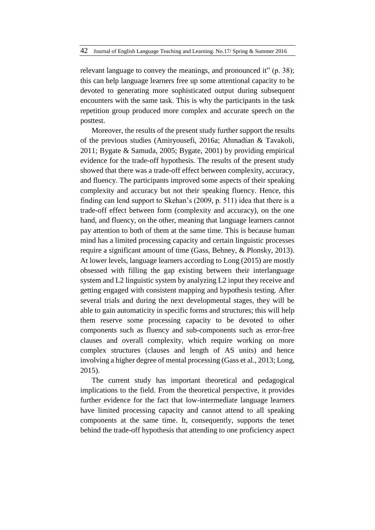relevant language to convey the meanings, and pronounced it" (p. 38); this can help language learners free up some attentional capacity to be devoted to generating more sophisticated output during subsequent encounters with the same task. This is why the participants in the task repetition group produced more complex and accurate speech on the posttest.

Moreover, the results of the present study further support the results of the previous studies (Amiryousefi, 2016a; Ahmadian & Tavakoli, 2011; Bygate & Samuda, 2005; Bygate, 2001) by providing empirical evidence for the trade-off hypothesis. The results of the present study showed that there was a trade-off effect between complexity, accuracy, and fluency. The participants improved some aspects of their speaking complexity and accuracy but not their speaking fluency. Hence, this finding can lend support to Skehan's (2009, p. 511) idea that there is a trade-off effect between form (complexity and accuracy), on the one hand, and fluency, on the other, meaning that language learners cannot pay attention to both of them at the same time. This is because human mind has a limited processing capacity and certain linguistic processes require a significant amount of time (Gass, Behney, & Plonsky, 2013). At lower levels, language learners according to Long (2015) are mostly obsessed with filling the gap existing between their interlanguage system and L2 linguistic system by analyzing L2 input they receive and getting engaged with consistent mapping and hypothesis testing. After several trials and during the next developmental stages, they will be able to gain automaticity in specific forms and structures; this will help them reserve some processing capacity to be devoted to other components such as fluency and sub-components such as error-free clauses and overall complexity, which require working on more complex structures (clauses and length of AS units) and hence involving a higher degree of mental processing (Gass et al., 2013; Long, 2015).

The current study has important theoretical and pedagogical implications to the field. From the theoretical perspective, it provides further evidence for the fact that low-intermediate language learners have limited processing capacity and cannot attend to all speaking components at the same time. It, consequently, supports the tenet behind the trade-off hypothesis that attending to one proficiency aspect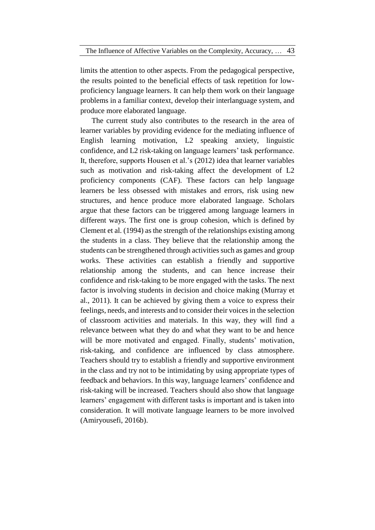limits the attention to other aspects. From the pedagogical perspective, the results pointed to the beneficial effects of task repetition for lowproficiency language learners. It can help them work on their language problems in a familiar context, develop their interlanguage system, and produce more elaborated language.

The current study also contributes to the research in the area of learner variables by providing evidence for the mediating influence of English learning motivation, L2 speaking anxiety, linguistic confidence, and L2 risk-taking on language learners' task performance. It, therefore, supports Housen et al.'s (2012) idea that learner variables such as motivation and risk-taking affect the development of L2 proficiency components (CAF). These factors can help language learners be less obsessed with mistakes and errors, risk using new structures, and hence produce more elaborated language. Scholars argue that these factors can be triggered among language learners in different ways. The first one is group cohesion, which is defined by Clement et al. (1994) as the strength of the relationships existing among the students in a class. They believe that the relationship among the students can be strengthened through activities such as games and group works. These activities can establish a friendly and supportive relationship among the students, and can hence increase their confidence and risk-taking to be more engaged with the tasks. The next factor is involving students in decision and choice making (Murray et al., 2011). It can be achieved by giving them a voice to express their feelings, needs, and interests and to consider their voices in the selection of classroom activities and materials. In this way, they will find a relevance between what they do and what they want to be and hence will be more motivated and engaged. Finally, students' motivation, risk-taking, and confidence are influenced by class atmosphere. Teachers should try to establish a friendly and supportive environment in the class and try not to be intimidating by using appropriate types of feedback and behaviors. In this way, language learners' confidence and risk-taking will be increased. Teachers should also show that language learners' engagement with different tasks is important and is taken into consideration. It will motivate language learners to be more involved (Amiryousefi, 2016b).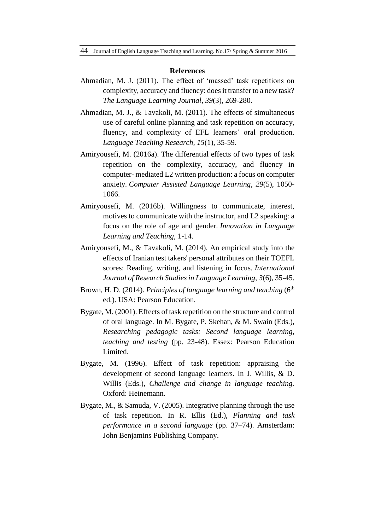#### **References**

- Ahmadian, M. J. (2011). The effect of 'massed' task repetitions on complexity, accuracy and fluency: does it transfer to a new task? *The Language Learning Journal*, *39*(3), 269-280.
- Ahmadian, M. J., & Tavakoli, M. (2011). The effects of simultaneous use of careful online planning and task repetition on accuracy, fluency, and complexity of EFL learners' oral production. *Language Teaching Research, 15*(1), 35-59.
- Amiryousefi, M. (2016a). The differential effects of two types of task repetition on the complexity, accuracy, and fluency in computer- mediated L2 written production: a focus on computer anxiety. *Computer Assisted Language Learning*, *29*(5), 1050- 1066.
- Amiryousefi, M. (2016b). Willingness to communicate, interest, motives to communicate with the instructor, and L2 speaking: a focus on the role of age and gender. *Innovation in Language Learning and Teaching*, 1-14.
- Amiryousefi, M., & Tavakoli, M. (2014). An empirical study into the effects of Iranian test takers' personal attributes on their TOEFL scores: Reading, writing, and listening in focus. *International Journal of Research Studies in Language Learning*, *3*(6), 35-45.
- Brown, H. D. (2014). *Principles of language learning and teaching* (6<sup>th</sup> ed.). USA: Pearson Education.
- Bygate, M. (2001). Effects of task repetition on the structure and control of oral language. In M. Bygate, P. Skehan, & M. Swain (Eds.), *Researching pedagogic tasks: Second language learning, teaching and testing* (pp. 23-48). Essex: Pearson Education Limited.
- Bygate, M. (1996). Effect of task repetition: appraising the development of second language learners. In J. Willis, & D. Willis (Eds.), *Challenge and change in language teaching.*  Oxford: Heinemann.
- Bygate, M., & Samuda, V. (2005). Integrative planning through the use of task repetition. In R. Ellis (Ed.), *Planning and task performance in a second language* (pp. 37–74). Amsterdam: John Benjamins Publishing Company.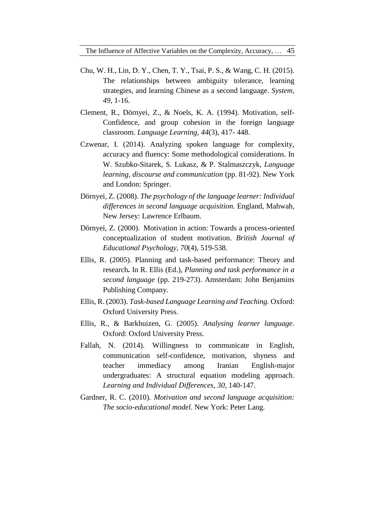- Chu, W. H., Lin, D. Y., Chen, T. Y., Tsai, P. S., & Wang, C. H. (2015). The relationships between ambiguity tolerance, learning strategies, and learning Chinese as a second language. *System, 49*, 1-16.
- Clement, R., Dörnyei, Z., & Noels, K. A. (1994). Motivation, self-Confidence, and group cohesion in the foreign language classroom. *Language Learning, 44*(3), 417- 448.
- Czwenar, I. (2014). Analyzing spoken language for complexity, accuracy and fluency: Some methodological considerations. In W. Szubko-Sitarek, S. Lukasz, & P. Stalmaszczyk, *Language learning, discourse and communication* (pp. 81-92). New York and London: Springer.
- Dörnyei, Z. (2008). *The psychology of the language learner: Individual differences in second language acquisition.* England, Mahwah, New Jersey: Lawrence Erlbaum.
- Dörnyei, Z. (2000). Motivation in action: Towards a process-oriented conceptualization of student motivation. *British Journal of Educational Psychology*, *70*(4), 519-538.
- Ellis, R. (2005). Planning and task-based performance: Theory and research**.** In R. Ellis (Ed.), *Planning and task performance in a second language* (pp. 219-273). Amsterdam: John Benjamins Publishing Company.
- Ellis, R. (2003). *Task-based Language Learning and Teaching.* Oxford: Oxford University Press.
- Ellis, R., & Barkhuizen, G. (2005). *Analysing learner language*. Oxford: Oxford University Press.
- Fallah, N. (2014). Willingness to communicate in English, communication self-confidence, motivation, shyness and teacher immediacy among Iranian English-major undergraduates: A structural equation modeling approach. *Learning and Individual Differences*, *30*, 140-147.
- Gardner, R. C. (2010). *Motivation and second language acquisition: The socio-educational model*. New York: Peter Lang.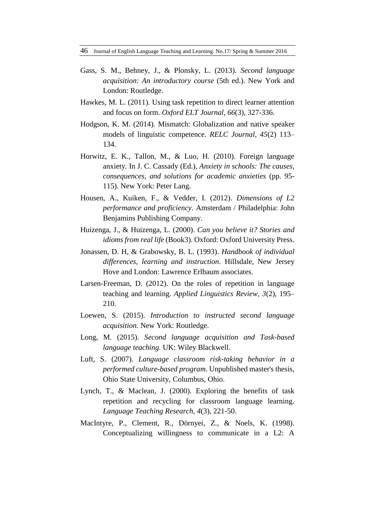46 Journal of English Language Teaching and Learning. No.17/ Spring & Summer 2016

- Gass, S. M., Behney, J., & Plonsky, L. (2013). *Second language acquisition: An introductory course* (5th ed.). New York and London: Routledge.
- Hawkes, M. L. (2011). Using task repetition to direct learner attention and focus on form. *Oxford ELT Journal, 66*(3), 327-336.
- Hodgson, K. M. (2014). Mismatch: Globalization and native speaker models of linguistic competence. *RELC Journal, 45*(2) 113– 134.
- Horwitz, E. K., Tallon, M., & Luo, H. (2010). Foreign language anxiety. In J. C. Cassady (Ed.), *Anxiety in schools: The causes, consequences, and solutions for academic anxieties* (pp. 95- 115). New York: Peter Lang.
- Housen, A., Kuiken, F., & Vedder, I. (2012). *Dimensions of L2 performance and proficiency*. Amsterdam / Philadelphia: John Benjamins Publishing Company.
- Huizenga, J., & Huizenga, L. (2000). *Can you believe it? Stories and idioms from real life* (Book3). Oxford: Oxford University Press.
- Jonassen, D. H, & Grabowsky, B. L. (1993). *Handbook of individual differences, learning and instruction*. Hillsdale, New Jersey Hove and London: Lawrence Erlbaum associates.
- Larsen-Freeman, D. (2012). On the roles of repetition in language teaching and learning. *Applied Linguistics Review, 3*(2), 195– 210.
- Loewen, S. (2015). *Introduction to instructed second language acquisition.* New York: Routledge.
- Long, M. (2015). *Second language acquisition and Task-based language teaching.* UK: Wiley Blackwell.
- Luft, S. (2007). *Language classroom risk-taking behavior in a performed culture-based program*. Unpublished master's thesis, Ohio State University, Columbus, Ohio.
- Lynch, T., & Maclean, J. (2000). Exploring the benefits of task repetition and recycling for classroom language learning. *Language Teaching Research, 4*(3), 221-50.
- MacIntyre, P., Clement, R., Dörnyei, Z., & Noels, K. (1998). Conceptualizing willingness to communicate in a L2: A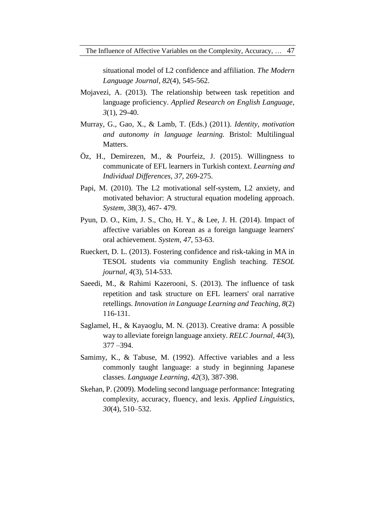situational model of L2 confidence and affiliation. *The Modern Language Journal*, *82*(4), 545-562.

- Mojavezi, A. (2013). The relationship between task repetition and language proficiency. *Applied Research on English Language, 3*(1), 29-40.
- Murray, G., Gao, X., & Lamb, T. (Eds.) (2011). *Identity, motivation and autonomy in language learning.* Bristol: Multilingual Matters.
- Öz, H., Demirezen, M., & Pourfeiz, J. (2015). Willingness to communicate of EFL learners in Turkish context. *Learning and Individual Differences, 37*, 269-275.
- Papi, M. (2010). The L2 motivational self-system, L2 anxiety, and motivated behavior: A structural equation modeling approach. *System, 38*(3), 467- 479.
- Pyun, D. O., Kim, J. S., Cho, H. Y., & Lee, J. H. (2014). Impact of affective variables on Korean as a foreign language learners' oral achievement. *System, 47*, 53-63.
- Rueckert, D. L. (2013). Fostering confidence and risk-taking in MA in TESOL students via community English teaching. *TESOL journal*, *4*(3), 514-533.
- Saeedi, M., & Rahimi Kazerooni, S. (2013). The influence of task repetition and task structure on EFL learners' oral narrative retellings. *Innovation in Language Learning and Teaching, 8*(2) 116-131.
- Saglamel, H., & Kayaoglu, M. N. (2013). Creative drama: A possible way to alleviate foreign language anxiety. *RELC Journal, 44*(3), 377 –394.
- Samimy, K., & Tabuse, M. (1992). Affective variables and a less commonly taught language: a study in beginning Japanese classes. *Language Learning, 42*(3), 387-398.
- Skehan, P. (2009). Modeling second language performance: Integrating complexity, accuracy, fluency, and lexis. *Applied Linguistics, 30*(4), 510–532.